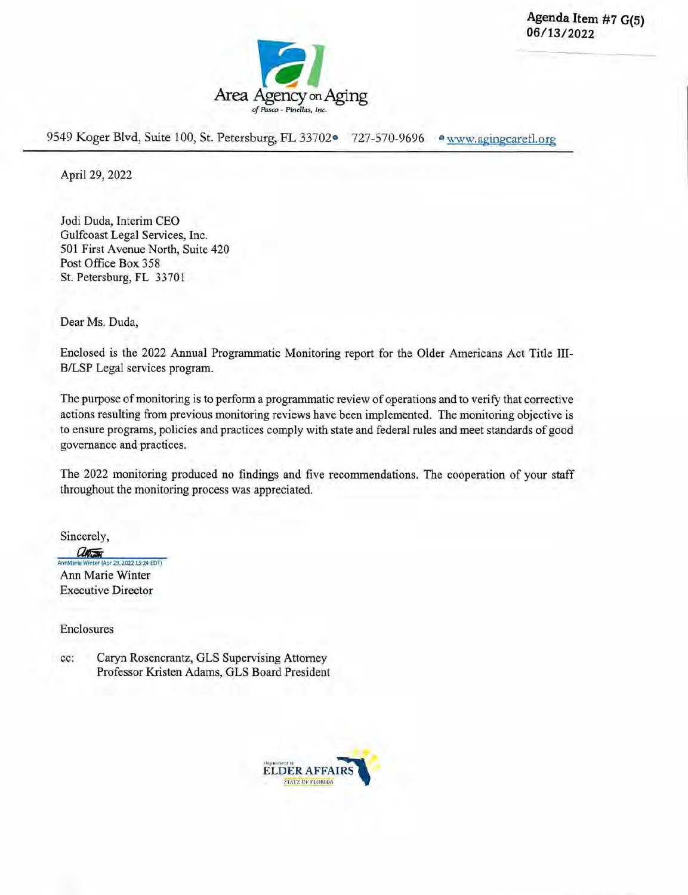**Agenda Item #7 G(5) 06/13/2022** 



9549 Koger Blvd, Suite 100, St. Petersburg, FL 33702<sup>o</sup> 727-570-9696 · www.agingcarefl.org

April 29, 2022

Jodi Duda, Interim CEO Gulfcoast Legal Services, Inc. 501 First Avenue North, Suite 420 Post Office Box *358*  St. Petersburg, FL 33701

Dear Ms. Duda,

Enclosed is the 2022 Annual Programmatic Monitoring report for the Older Americans Act Title III-B/LSP Legal services program.

The purpose of monitoring is to perform a programmatic review of operations and to verify that corrective actions resulting from previous monitoring reviews have been implemented. The monitoring objective is to ensure programs, policies and practices comply with state and federal rules and meet standards of good governance and practices.

The 2022 monitoring produced no findings and five recommendations. The cooperation of your staff throughout the monitoring process was appreciated.

Sincerely,

 $a =$ AnnMarie Winter (Apr 29,2022 15:24 EDT) Ann Marie Winter Executive Director

Enclosures

cc: Caryn Rosencrantz, GLS Supervising Attorney Professor Kristen Adams, GLS Board President

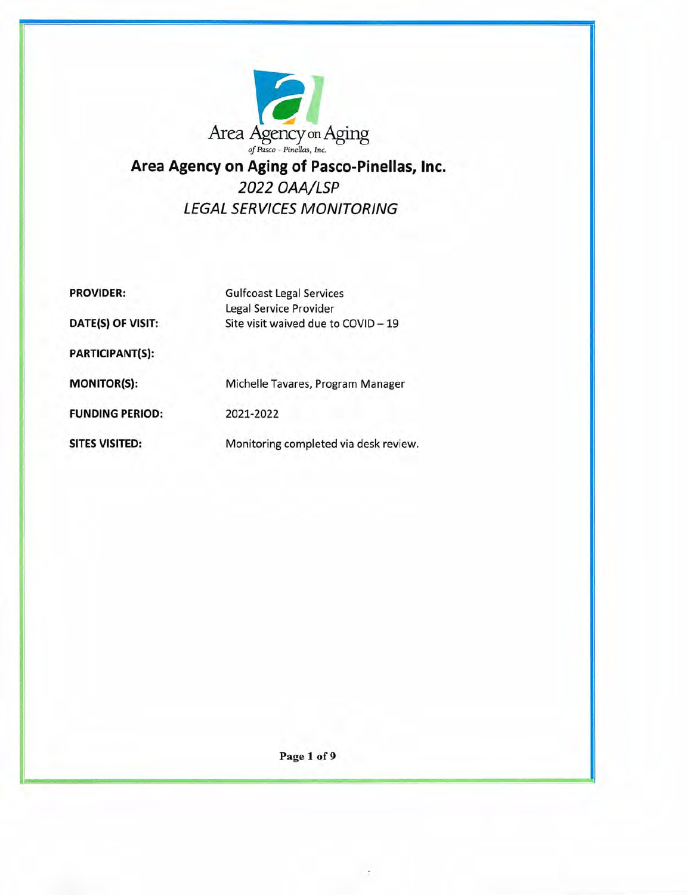

**Area Agency on Aging of Pasco-Pinellas, Inc.**  *2022 OAA/LSP LEGAL SERVICES MONITORING* 

| <b>PROVIDER:</b>       | <b>Gulfcoast Legal Services</b><br>Legal Service Provider |
|------------------------|-----------------------------------------------------------|
| DATE(S) OF VISIT:      | Site visit waived due to COVID - 19                       |
| <b>PARTICIPANT(S):</b> |                                                           |
| <b>MONITOR(S):</b>     | Michelle Tavares, Program Manager                         |
| <b>FUNDING PERIOD:</b> | 2021-2022                                                 |
| <b>SITES VISITED:</b>  | Monitoring completed via desk review.                     |

Page 1 of 9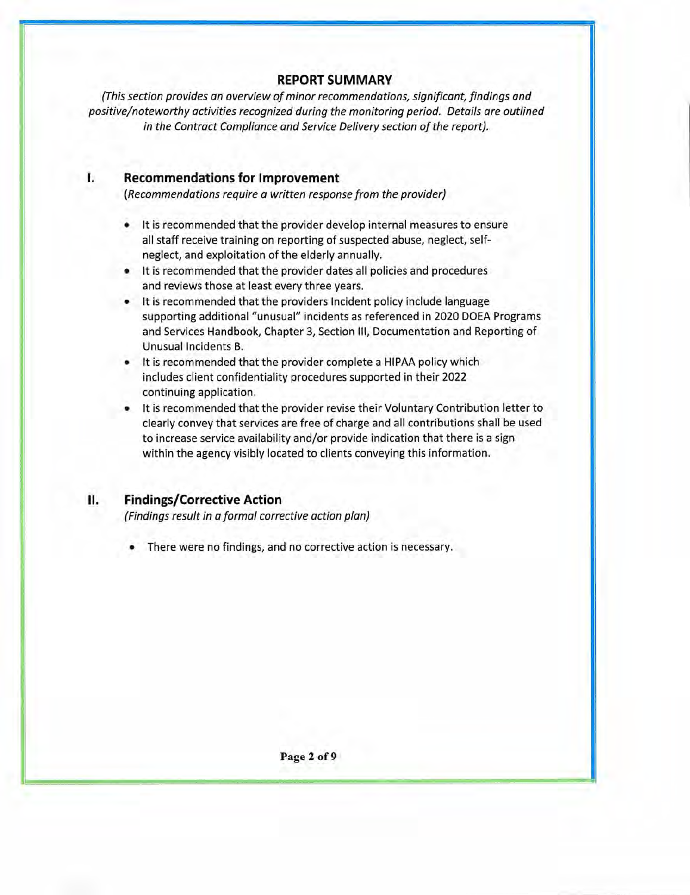# **REPORT SUMMARY**

*(This section provides an overview of minor recommendations, significant, findings and*  positive/noteworthy activities recognized during the monitoring period. Details are outlined *in the Contract Compliance and Service Delivery section of the report).* 

# **I. Recommendations for Improvement**

*(Recommendations require a written response from the provider)* 

- It is recommended that the provider develop internal measures to ensure all staff receive training on reporting of suspected abuse, neglect, selfneglect, and exploitation of the elderly annually.
- It is recommended that the provider dates all policies and procedures and reviews those at least every three years.
- It is recommended that the providers Incident policy include language supporting additional "unusual" incidents as referenced in 2020 DOEA Programs and Services Handbook, Chapter 3, Section III, Documentation and Reporting of Unusual Incidents B.
- It is recommended that the provider complete a HIPAA policy which includes client confidentiality procedures supported in their 2022 continuing application.
- It is recommended that the provider revise their Voluntary Contribution letter to clearly convey that services are free of charge and all contributions shall be used to increase service availability and/or provide indication that there is a sign within the agency visibly located to clients conveying this information.

# **II. Findings/Corrective Action**

*(Findings result in a formal corrective action plan)* 

• There were no findings, and no corrective action is necessary.

Page 2 of 9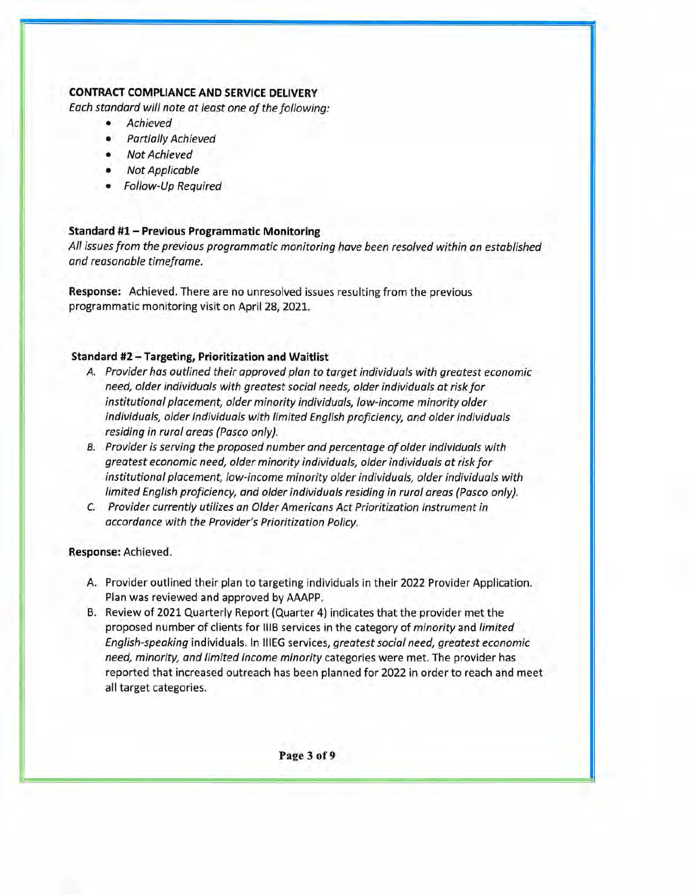# **CONTRACT COMPLIANCE AND SERVICE DELIVERY**

Each standard will note at least one of the following:

- Achieved
- Partia//y Achieved
- Not Achieved
- Not App/icable
- Follow-Up Required

# **Standard #1 — Previous Programmatic Monitoring**

All issues from the previous programmatic monitoring have been resolved within an established and reasonable timeframe.

**Response:** Achieved. There are no unresolved issues resulting from the previous programmatic monitoring visit on April 28, 2021.

### **Standard #2 — Targeting, Prioritization and Waitlist**

- A. Provider has outlined their approved plan to target individuals with greatest economic need, older individuals with greatest social needs, older individuals at risk for institutional placement, older minority individuals, low-income minority older individuals, older individuals with limited English proficiency, and older individuals residing in rural areas (Pasco only).
- B. Provider is serving the proposed number and percentage of older individuals with greatest economic need, older minority individuals, older individuals at risk for institutional placement, low-income minority older individuals, older individuals with limited English proficiency, and older individuals residing in rural areas (Pasco only).
- C. Provider currently utilizes an Older Americans Act Prioritization Instrument in accordance with the Provider's Prioritization Policy.

### **Response:** Achieved.

- A. Provider outlined their plan to targeting individuals in their 2022 Provider Application. Plan was reviewed and approved by AAAPP.
- B. Review of 2021 Quarterly Report (Quarter 4) indicates that the provider met the proposed number of clients for IlIB services in the category of minority and limited English-speaking individuals. In IIIEG services, greatest social need, greatest economic need, minority, and limited income minority categories were met. The provider has reported that increased outreach has been planned for 2022 in order to reach and meet all target categories.

*Page 3 of 9*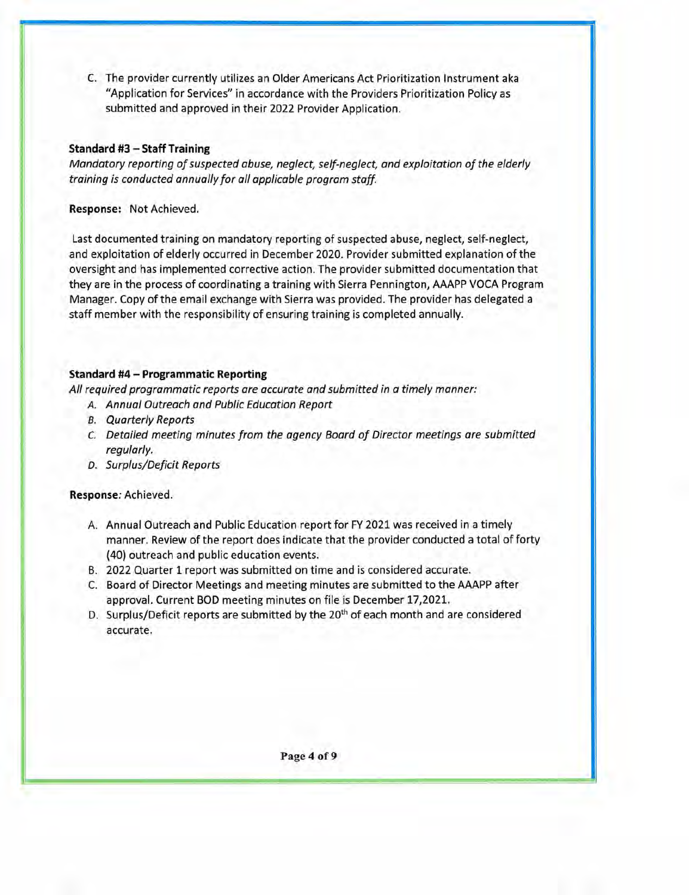C. The provider currently utilizes an Older Americans Act Prioritization Instrument aka "Application for Services" in accordance with the Providers Prioritization Policy as submitted and approved in their 2022 Provider Application.

#### **Standard #3** — **Staff Training**

*Mandatory reporting* of *suspected abuse, neglect, self-neglect, and exploitation* of *the elderly training is conducted annually for all applicable program staff.* 

**Response:** Not Achieved.

Last documented training on mandatory reporting of suspected abuse, neglect, self-neglect, and exploitation of elderly occurred in December 2020. Provider submitted explanation of the oversight and has implemented corrective action. The provider submitted documentation that they are in the process of coordinating a training with Sierra Pennington, AAAPP VOCA Program Manager. Copy of the email exchange with Sierra was provided. The provider has delegated a staff member with the responsibility of ensuring training is completed annually.

# **Standard #4** — **Programmatic Reporting**

*All required programmatic reports are accurate and submitted in a timely manner:* 

- *A. Annual Outreach and Public Education Report*
- *B. Quarterly Reports*
- *C. Detailed meeting minutes from the agency Board* of *Director meetings are submitted regularly.*
- *D. Surplus/Deficit Reports*

### **Response:** Achieved.

- A. Annual Outreach and Public Education report for FY 2021 was received in a timely manner. Review of the report does indicate that the provider conducted a total of forty (40) outreach and public education events.
- B. 2022 Quarter 1 report was submitted on time and is considered accurate.
- C. Board of Director Meetings and meeting minutes are submitted to the AAAPP after approval. Current BOD meeting minutes on file is December 17,2021.
- D. Surplus/Deficit reports are submitted by the 20<sup>th</sup> of each month and are considered accurate.

*Page 4 of 9*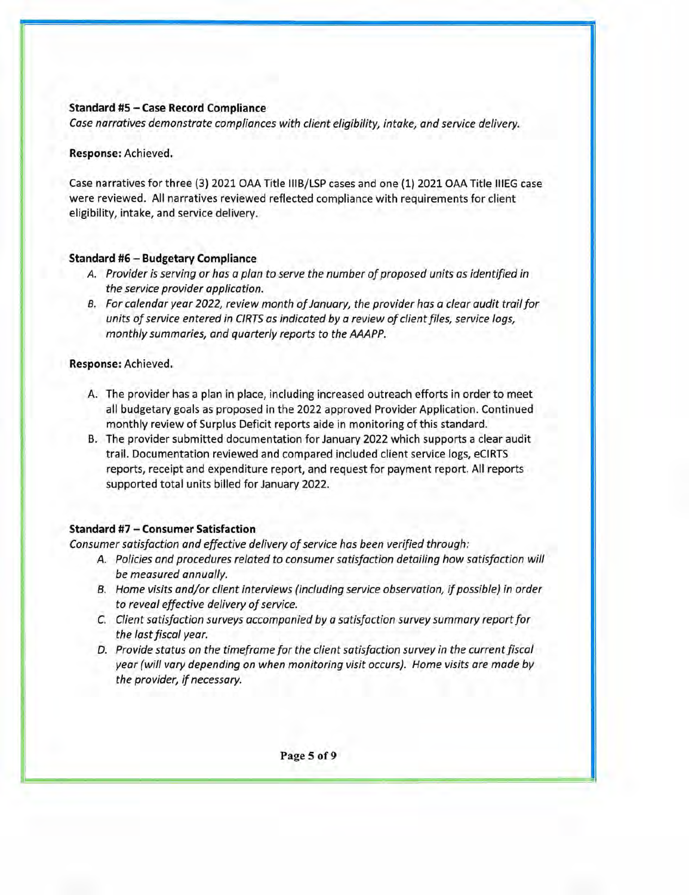### **Standard #5 — Case Record Compliance**

Case narratives demonstrate compliances with client eligibility, intake, and service delivery.

#### **Response:** Achieved.

Case narratives for three (3) 2021 OAA Title IIIB/LSP cases and one (1) 2021 OAA Title IIIEG case were reviewed. All narratives reviewed reflected compliance with requirements for client eligibility, intake, and service delivery.

# **Standard #6** — **Budgetary Compliance**

- A. Provider is serving or has a plan to serve the number of proposed units as identified in the service provider application.
- B. For calendar year 2022, review month of January, the provider has a clear audit trail for units of service entered in CIRTS as indicated by a review of client files, service logs, monthly summaries, and quarterly reports to the AAAPP.

#### **Response:** Achieved.

- A. The provider has a plan in place, including increased outreach efforts in order to meet all budgetary goals as proposed in the 2022 approved Provider Application. Continued monthly review of Surplus Deficit reports aide in monitoring of this standard.
- B. The provider submitted documentation for January 2022 which supports a clear audit trail. Documentation reviewed and compared included client service logs, eCIRTS reports, receipt and expenditure report, and request for payment report. All reports supported total units billed for January 2022.

### **Standard #7** — **Consumer Satisfaction**

Consumer satisfaction and effective delivery of service has been verified through:

- A. Policies and procedures related to consumer satisfaction detailing how satisfaction will be measured annually.
- B. Home visits and/or client interviews (including service observation, if possible) in order to reveal effective delivery of service.
- C. Client satisfaction surveys accompanied by a satisfaction survey summary report for the last fiscal year.
- D. Provide status on the timeframe for the client satisfaction survey in the current fiscal year (will vary depending on when monitoring visit occurs). Home visits are made by the provider, if necessary.

**Page 5 of 9**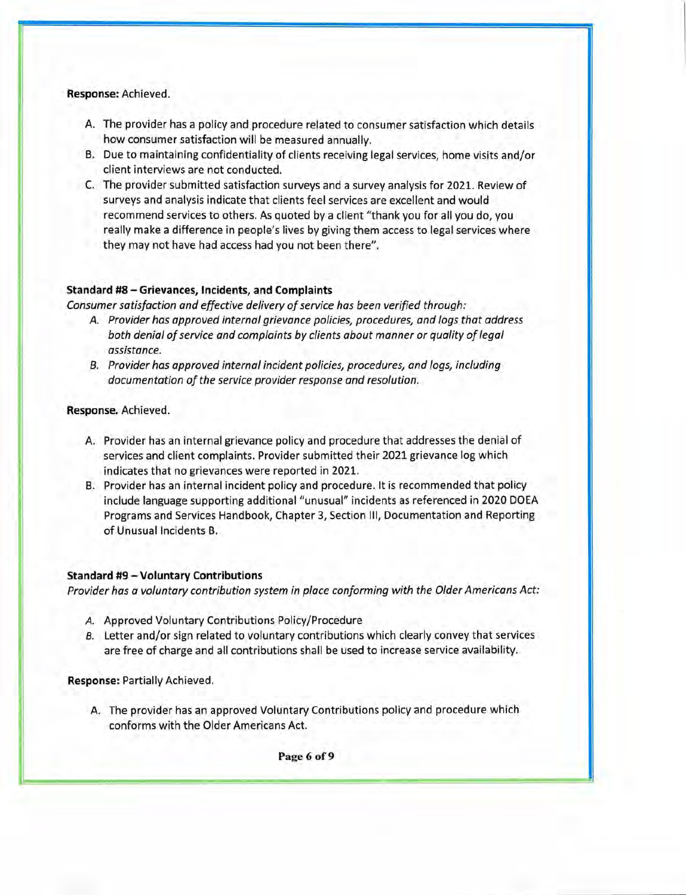### **Response:** Achieved.

- A. The provider has a policy and procedure related to consumer satisfaction which details how consumer satisfaction will be measured annually.
- B. Due to maintaining confidentiality of clients receiving legal services, home visits and/or client interviews are not conducted.
- C. The provider submitted satisfaction surveys and a survey analysis for 2021. Review of surveys and analysis indicate that clients feel services are excellent and would recommend services to others. As quoted by a client "thank you for all you do, you really make a difference in people's lives by giving them access to legal services where they may not have had access had you not been there".

# **Standard #8 — Grievances, Incidents, and Complaints**

*Consumer satisfaction and effective delivery* of *service has been verified through:* 

- *A. Provider has approved internal grievance policies, procedures, and logs that address both denial* of *service and complaints by clients about manner or quality* of *legal assistance.*
- *B. Provider has approved internal incident policies, procedures, and logs, including documentation* of *the service provider response and resolution.*

# **Response.** Achieved.

- A. Provider has an internal grievance policy and procedure that addresses the denial of services and client complaints. Provider submitted their 2021 grievance log which indicates that no grievances were reported in 2021.
- B. Provider has an internal incident policy and procedure. It is recommended that policy include language supporting additional "unusual" incidents as referenced in 2020 DOEA Programs and Services Handbook, Chapter 3, Section III, Documentation and Reporting of Unusual Incidents B.

# **Standard #9—Voluntary Contributions**

*Provider has a voluntary contribution system in place conforming with the Older Americans Act:* 

- A. Approved Voluntary Contributions Policy/Procedure
- B. Letter and/or sign related to voluntary contributions which clearly convey that services are free of charge and all contributions shall be used to increase service availability.

**Response:** Partially Achieved.

A. The provider has an approved Voluntary Contributions policy and procedure which conforms with the Older Americans Act.

*Page 6 of 9*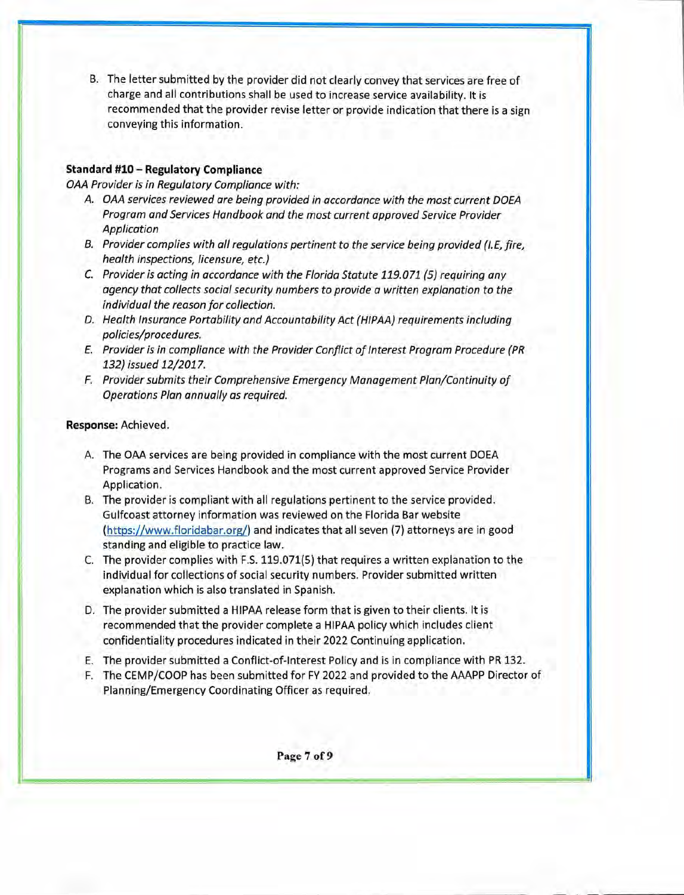B. The letter submitted by the provider did not clearly convey that services are free of charge and all contributions shall be used to increase service availability. It is recommended that the provider revise letter or provide indication that there is a sign conveying this information.

# **Standard #10** — **Regulatory Compliance**

OAA Provider is in Regulatory Compliance with:

- A. OAA services reviewed are being provided in accordance with the most current DOEA Program and Services Handbook and the most current approved Service Provider Application
- B. Provider complies with all regulations pertinent to the service being provided (I.E. fire, health inspections, licensure, etc.)
- C. Provider is acting in accordance with the Florida Statute 119.071 (5) requiring any agency that collects social security numbers to provide a written explanation to the individual the reason for collection.
- D. Health Insurance Portability and Accountability Act (HIPAA) requirements including policies/procedures.
- E. Provider is in compliance with the Provider Conflict *of* Interest Program Procedure (PR 132) issued 12/2017.
- F. Provider submits their Comprehensive Emergency Management Plan/Continuity *of*  Operations Plan annually as required.

### **Response:** Achieved.

- A. The OAA services are being provided in compliance with the most current DOEA Programs and Services Handbook and the most current approved Service Provider Application.
- B. The provider is compliant with all regulations pertinent to the service provided. Gulfcoast attorney information was reviewed on the Florida Bar website (https://www.floridabar.org/) and indicates that all seven (7) attorneys are in good standing and eligible to practice law.
- C. The provider complies with F.S. 119.071(5) that requires a written explanation to the individual for collections of social security numbers. Provider submitted written explanation which is also translated in Spanish.
- D. The provider submitted a HIPAA release form that is given to their clients. It is recommended that the provider complete a HIPAA policy which includes client confidentiality procedures indicated in their 2022 Continuing application.
- E. The provider submitted a Conflict-of-Interest Policy and is in compliance with PR 132.
- F. The CEMP/COOP has been submitted for FY 2022 and provided to the AAAPP Director of Planning/Emergency Coordinating Officer as required.

**Page** 7 **of 9**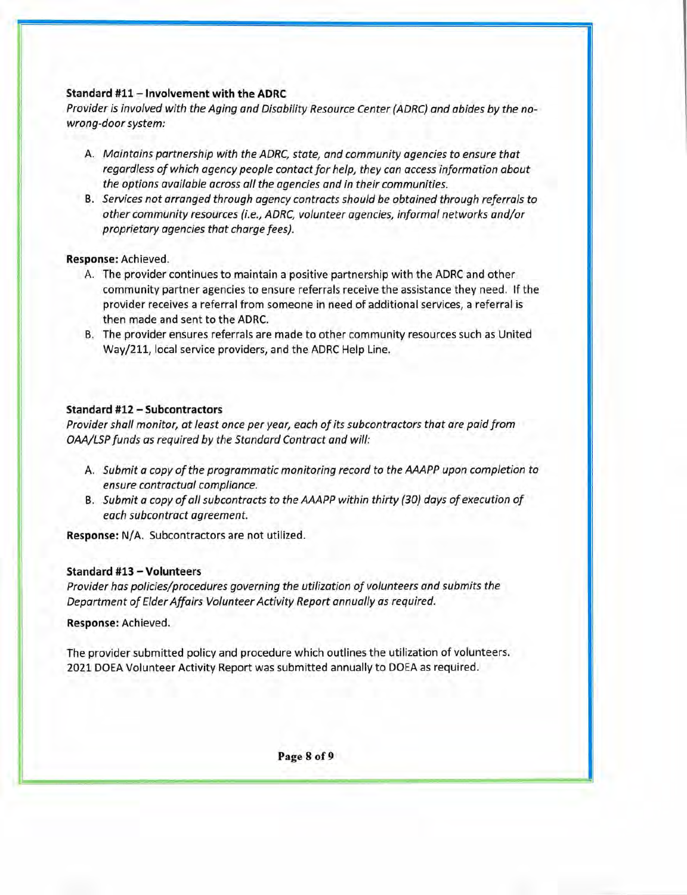### **Standard #11 — Involvement with the ADRC**

Provider is involved with the Aging and Disability Resource Center (ADRC) and abides by the nowrong-door system:

- A. Maintains partnership with the ADRC, state, and community agencies to ensure that regardless of which agency people contact for help, they can access information about the options available across all the agencies and in their communities.
- B. Services not arranged through agency contracts should be obtained through referrals to other community resources (i.e., ADRC, volunteer agencies, informal networks and/or proprietary agencies that charge fees).

#### **Response:** Achieved.

- A. The provider continues to maintain a positive partnership with the ADRC and other community partner agencies to ensure referrals receive the assistance they need. If the provider receives a referral from someone in need of additional services, a referral is then made and sent to the ADRC.
- B. The provider ensures referrals are made to other community resources such as United Way/211, local service providers, and the ADRC Help Line.

#### **Standard #12** — **Subcontractors**

Provider shall monitor, at least once per year, each of its subcontractors that are paid from OAA/LSP funds as required by the Standard Contract and will:

- A. Submit a copy of the programmatic monitoring record to the AAAPP upon completion to ensure contractual compliance.
- B. Submit a copy of all subcontracts to the AAAPP within thirty (30) days of execution of each subcontract agreement.

**Response:** N/A. Subcontractors are not utilized.

#### **Standard #13** — **Volunteers**

Provider has policies/procedures governing the utilization of volunteers and submits the Department of ElderAffairs Volunteer Activity Report annually as required.

**Response:** Achieved.

The provider submitted policy and procedure which outlines the utilization of volunteers. 2021 DOEA Volunteer Activity Report was submitted annually to DOEA as required.

**Page 8 of 9**